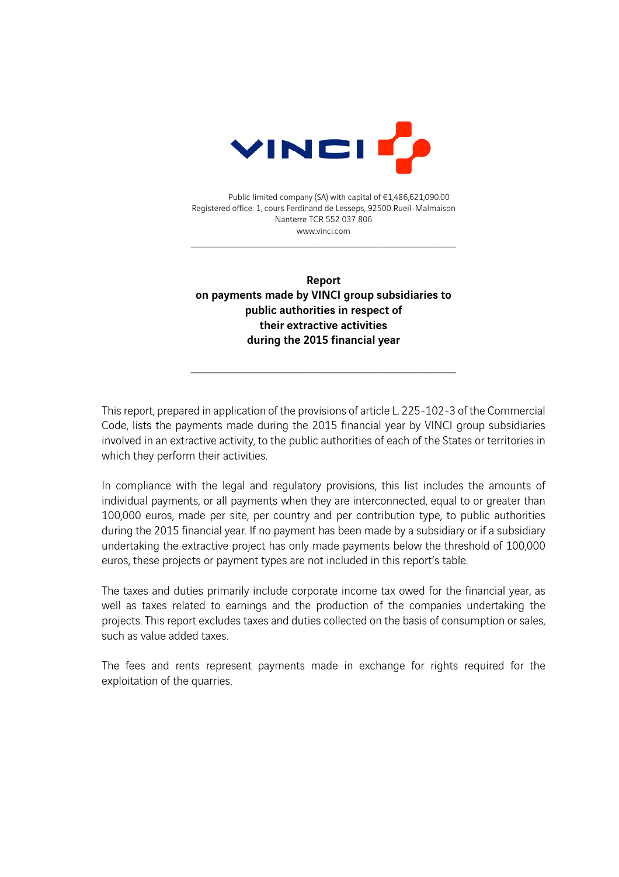

Public limited company (SA) with capital of €1,486,621,090.00 Registered office: 1, cours Ferdinand de Lesseps, 92500 Rueil-Malmaison Nanterre TCR 552 037 806 www.vinci.com

\_\_\_\_\_\_\_\_\_\_\_\_\_\_\_\_\_\_\_\_\_\_\_\_\_\_\_\_\_\_\_\_\_\_\_\_\_\_\_\_\_\_\_\_\_\_\_\_\_\_\_

Report on payments made by VINCI group subsidiaries to public authorities in respect of their extractive activities during the 2015 financial year

\_\_\_\_\_\_\_\_\_\_\_\_\_\_\_\_\_\_\_\_\_\_\_\_\_\_\_\_\_\_\_\_\_\_\_\_\_\_\_\_\_\_\_\_\_\_\_\_\_\_\_

This report, prepared in application of the provisions of article L. 225-102-3 of the Commercial Code, lists the payments made during the 2015 financial year by VINCI group subsidiaries involved in an extractive activity, to the public authorities of each of the States or territories in which they perform their activities.

In compliance with the legal and regulatory provisions, this list includes the amounts of individual payments, or all payments when they are interconnected, equal to or greater than 100,000 euros, made per site, per country and per contribution type, to public authorities during the 2015 financial year. If no payment has been made by a subsidiary or if a subsidiary undertaking the extractive project has only made payments below the threshold of 100,000 euros, these projects or payment types are not included in this report's table.

The taxes and duties primarily include corporate income tax owed for the financial year, as well as taxes related to earnings and the production of the companies undertaking the projects. This report excludes taxes and duties collected on the basis of consumption or sales, such as value added taxes.

The fees and rents represent payments made in exchange for rights required for the exploitation of the quarries.